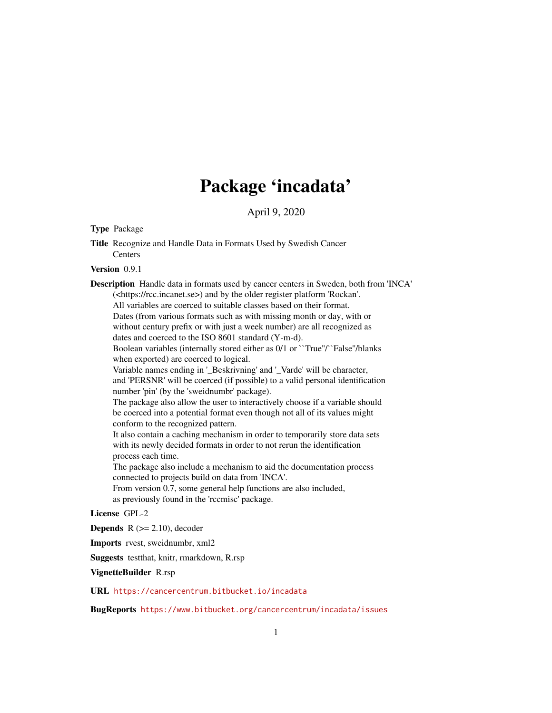# Package 'incadata'

April 9, 2020

<span id="page-0-0"></span>Type Package

Title Recognize and Handle Data in Formats Used by Swedish Cancer **Centers** 

Version 0.9.1

Description Handle data in formats used by cancer centers in Sweden, both from 'INCA' (<https://rcc.incanet.se>) and by the older register platform 'Rockan'. All variables are coerced to suitable classes based on their format. Dates (from various formats such as with missing month or day, with or without century prefix or with just a week number) are all recognized as dates and coerced to the ISO 8601 standard (Y-m-d). Boolean variables (internally stored either as 0/1 or ``True''/`False''/blanks when exported) are coerced to logical. Variable names ending in '\_Beskrivning' and '\_Varde' will be character, and 'PERSNR' will be coerced (if possible) to a valid personal identification number 'pin' (by the 'sweidnumbr' package). The package also allow the user to interactively choose if a variable should be coerced into a potential format even though not all of its values might conform to the recognized pattern. It also contain a caching mechanism in order to temporarily store data sets with its newly decided formats in order to not rerun the identification process each time. The package also include a mechanism to aid the documentation process connected to projects build on data from 'INCA'.

From version 0.7, some general help functions are also included, as previously found in the 'rccmisc' package.

License GPL-2

**Depends** R  $(>= 2.10)$ , decoder

Imports rvest, sweidnumbr, xml2

Suggests testthat, knitr, rmarkdown, R.rsp

VignetteBuilder R.rsp

URL <https://cancercentrum.bitbucket.io/incadata>

BugReports <https://www.bitbucket.org/cancercentrum/incadata/issues>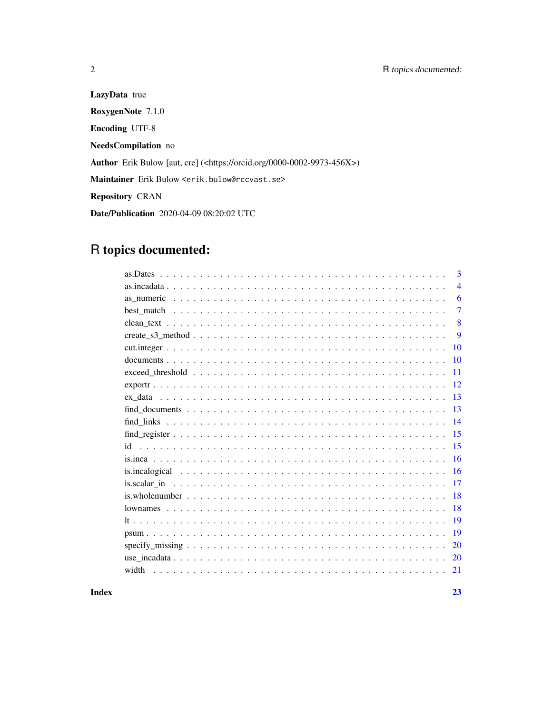LazyData true RoxygenNote 7.1.0 Encoding UTF-8 NeedsCompilation no Author Erik Bulow [aut, cre] (<https://orcid.org/0000-0002-9973-456X>) Maintainer Erik Bulow <erik.bulow@rccvast.se> Repository CRAN Date/Publication 2020-04-09 08:20:02 UTC

## R topics documented:

|                                                                                                                     | 3              |
|---------------------------------------------------------------------------------------------------------------------|----------------|
|                                                                                                                     | $\overline{4}$ |
|                                                                                                                     | 6              |
|                                                                                                                     | $\overline{7}$ |
|                                                                                                                     | 8              |
| $create_s3\_method \dots \dots \dots \dots \dots \dots \dots \dots \dots \dots \dots \dots \dots \dots \dots \dots$ | 9              |
|                                                                                                                     | 10             |
|                                                                                                                     | 10             |
| 11                                                                                                                  |                |
| 12                                                                                                                  |                |
| 13                                                                                                                  |                |
| 13                                                                                                                  |                |
| 14                                                                                                                  |                |
| 15                                                                                                                  |                |
| 15                                                                                                                  |                |
| 16                                                                                                                  |                |
| 16                                                                                                                  |                |
| 17                                                                                                                  |                |
| 18                                                                                                                  |                |
| 18                                                                                                                  |                |
| 19                                                                                                                  |                |
| 19                                                                                                                  |                |
| 20                                                                                                                  |                |
| 20                                                                                                                  |                |
| width<br>21                                                                                                         |                |
|                                                                                                                     |                |

**Index** [23](#page-22-0)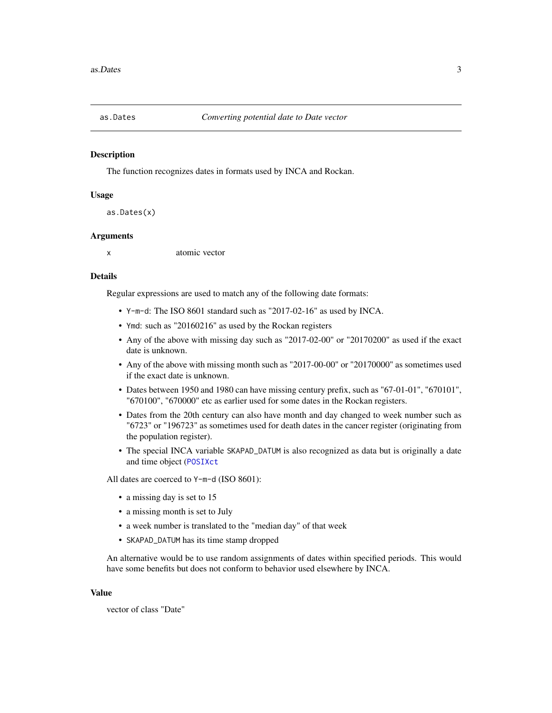<span id="page-2-1"></span><span id="page-2-0"></span>

The function recognizes dates in formats used by INCA and Rockan.

#### Usage

as.Dates(x)

#### Arguments

x atomic vector

#### Details

Regular expressions are used to match any of the following date formats:

- Y-m-d: The ISO 8601 standard such as "2017-02-16" as used by INCA.
- Ymd: such as "20160216" as used by the Rockan registers
- Any of the above with missing day such as "2017-02-00" or "20170200" as used if the exact date is unknown.
- Any of the above with missing month such as "2017-00-00" or "20170000" as sometimes used if the exact date is unknown.
- Dates between 1950 and 1980 can have missing century prefix, such as "67-01-01", "670101", "670100", "670000" etc as earlier used for some dates in the Rockan registers.
- Dates from the 20th century can also have month and day changed to week number such as "6723" or "196723" as sometimes used for death dates in the cancer register (originating from the population register).
- The special INCA variable SKAPAD\_DATUM is also recognized as data but is originally a date and time object ([POSIXct](#page-0-0)

All dates are coerced to Y-m-d (ISO 8601):

- a missing day is set to 15
- a missing month is set to July
- a week number is translated to the "median day" of that week
- SKAPAD\_DATUM has its time stamp dropped

An alternative would be to use random assignments of dates within specified periods. This would have some benefits but does not conform to behavior used elsewhere by INCA.

#### Value

vector of class "Date"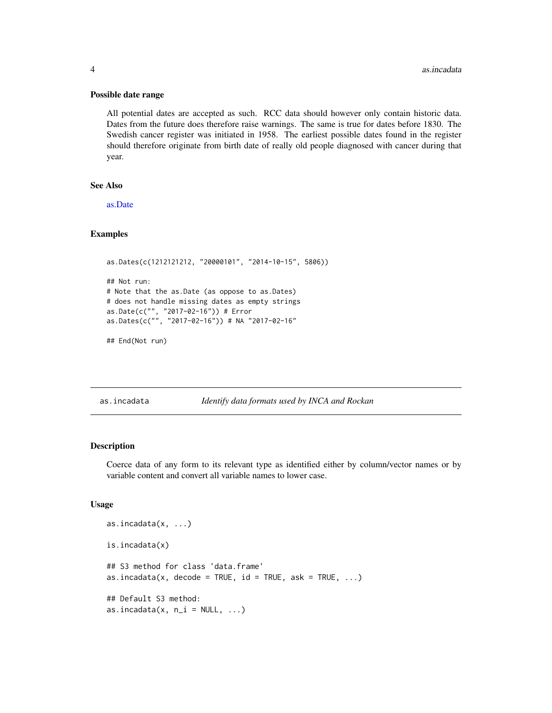#### <span id="page-3-0"></span>Possible date range

All potential dates are accepted as such. RCC data should however only contain historic data. Dates from the future does therefore raise warnings. The same is true for dates before 1830. The Swedish cancer register was initiated in 1958. The earliest possible dates found in the register should therefore originate from birth date of really old people diagnosed with cancer during that year.

#### See Also

[as.Date](#page-0-0)

#### Examples

```
as.Dates(c(1212121212, "20000101", "2014-10-15", 5806))
## Not run:
# Note that the as.Date (as oppose to as.Dates)
# does not handle missing dates as empty strings
as.Date(c("", "2017-02-16")) # Error
as.Dates(c("", "2017-02-16")) # NA "2017-02-16"
```

```
## End(Not run)
```
<span id="page-3-1"></span>as.incadata *Identify data formats used by INCA and Rockan*

#### Description

Coerce data of any form to its relevant type as identified either by column/vector names or by variable content and convert all variable names to lower case.

#### Usage

```
as.incadata(x, ...)
is.incadata(x)
## S3 method for class 'data.frame'
as.incadata(x, decode = TRUE, id = TRUE, ask = TRUE, \dots)
## Default S3 method:
as.incadata(x, n_i = NULL, ...)
```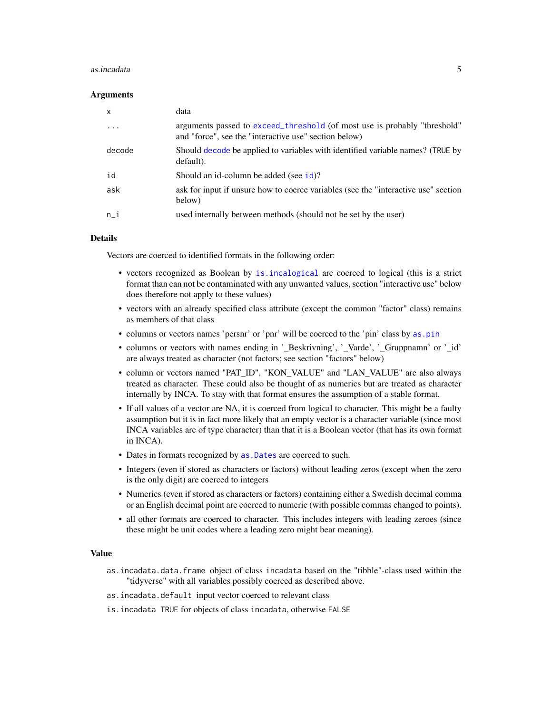#### <span id="page-4-0"></span>as.incadata 5

#### **Arguments**

| $\boldsymbol{\mathsf{x}}$ | data                                                                                                                               |
|---------------------------|------------------------------------------------------------------------------------------------------------------------------------|
| $\ddotsc$                 | arguments passed to exceed_threshold (of most use is probably "threshold"<br>and "force", see the "interactive use" section below) |
| decode                    | Should decode be applied to variables with identified variable names? (TRUE by<br>default).                                        |
| id                        | Should an id-column be added (see id)?                                                                                             |
| ask                       | ask for input if unsure how to coerce variables (see the "interactive use" section<br>below)                                       |
| n i                       | used internally between methods (should not be set by the user)                                                                    |

#### Details

Vectors are coerced to identified formats in the following order:

- vectors recognized as Boolean by [is.incalogical](#page-15-1) are coerced to logical (this is a strict format than can not be contaminated with any unwanted values, section "interactive use" below does therefore not apply to these values)
- vectors with an already specified class attribute (except the common "factor" class) remains as members of that class
- columns or vectors names 'persnr' or 'pnr' will be coerced to the 'pin' class by [as.pin](#page-0-0)
- columns or vectors with names ending in '\_Beskrivning', '\_Varde', '\_Gruppnamn' or '\_id' are always treated as character (not factors; see section "factors" below)
- column or vectors named "PAT\_ID", "KON\_VALUE" and "LAN\_VALUE" are also always treated as character. These could also be thought of as numerics but are treated as character internally by INCA. To stay with that format ensures the assumption of a stable format.
- If all values of a vector are NA, it is coerced from logical to character. This might be a faulty assumption but it is in fact more likely that an empty vector is a character variable (since most INCA variables are of type character) than that it is a Boolean vector (that has its own format in INCA).
- Dates in formats recognized by [as.Dates](#page-2-1) are coerced to such.
- Integers (even if stored as characters or factors) without leading zeros (except when the zero is the only digit) are coerced to integers
- Numerics (even if stored as characters or factors) containing either a Swedish decimal comma or an English decimal point are coerced to numeric (with possible commas changed to points).
- all other formats are coerced to character. This includes integers with leading zeroes (since these might be unit codes where a leading zero might bear meaning).

#### Value

- as.incadata.data.frame object of class incadata based on the "tibble"-class used within the "tidyverse" with all variables possibly coerced as described above.
- as.incadata.default input vector coerced to relevant class
- is.incadata TRUE for objects of class incadata, otherwise FALSE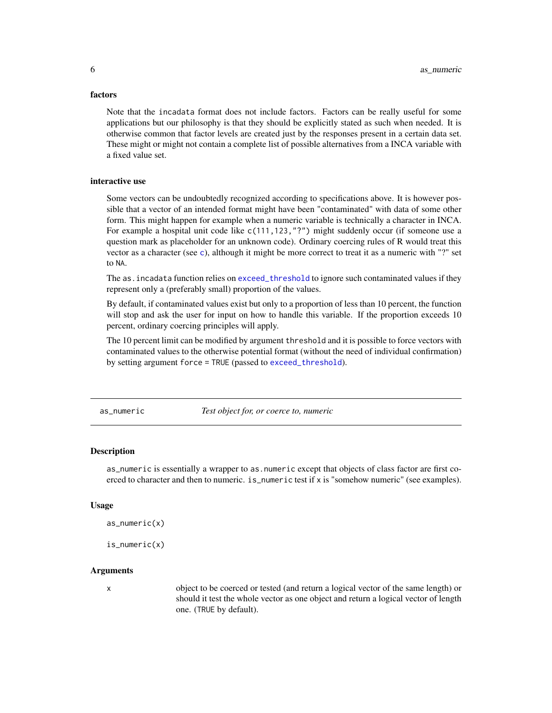#### <span id="page-5-0"></span>factors

Note that the incadata format does not include factors. Factors can be really useful for some applications but our philosophy is that they should be explicitly stated as such when needed. It is otherwise common that factor levels are created just by the responses present in a certain data set. These might or might not contain a complete list of possible alternatives from a INCA variable with a fixed value set.

#### interactive use

Some vectors can be undoubtedly recognized according to specifications above. It is however possible that a vector of an intended format might have been "contaminated" with data of some other form. This might happen for example when a numeric variable is technically a character in INCA. For example a hospital unit code like c(111, 123, "?") might suddenly occur (if someone use a question mark as placeholder for an unknown code). Ordinary coercing rules of R would treat this vector as a character (see [c](#page-0-0)), although it might be more correct to treat it as a numeric with "?" set to NA.

The as.incadata function relies on [exceed\\_threshold](#page-10-1) to ignore such contaminated values if they represent only a (preferably small) proportion of the values.

By default, if contaminated values exist but only to a proportion of less than 10 percent, the function will stop and ask the user for input on how to handle this variable. If the proportion exceeds 10 percent, ordinary coercing principles will apply.

The 10 percent limit can be modified by argument threshold and it is possible to force vectors with contaminated values to the otherwise potential format (without the need of individual confirmation) by setting argument force = TRUE (passed to [exceed\\_threshold](#page-10-1)).

as\_numeric *Test object for, or coerce to, numeric*

#### **Description**

as\_numeric is essentially a wrapper to as.numeric except that objects of class factor are first coerced to character and then to numeric. is\_numeric test if x is "somehow numeric" (see examples).

#### Usage

```
as_numeric(x)
```
is\_numeric(x)

#### Arguments

x object to be coerced or tested (and return a logical vector of the same length) or should it test the whole vector as one object and return a logical vector of length one. (TRUE by default).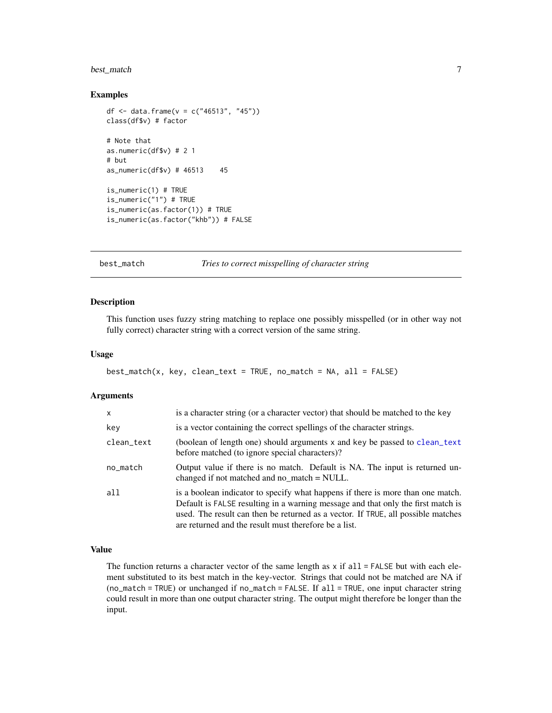#### <span id="page-6-0"></span>best\_match 7

#### Examples

```
df <- data.frame(v = c("46513", "45"))class(df$v) # factor
# Note that
as.numeric(df$v) # 2 1
# but
as_numeric(df$v) # 46513 45
is_numeric(1) # TRUE
is_numeric("1") # TRUE
is_numeric(as.factor(1)) # TRUE
is_numeric(as.factor("khb")) # FALSE
```
#### best\_match *Tries to correct misspelling of character string*

#### Description

This function uses fuzzy string matching to replace one possibly misspelled (or in other way not fully correct) character string with a correct version of the same string.

#### Usage

```
best\_match(x, key, clean_test = TRUE, no\_match = NA, all = FALSE)
```
#### Arguments

| $\mathsf{x}$ | is a character string (or a character vector) that should be matched to the key                                                                                                                                                                                                                                  |
|--------------|------------------------------------------------------------------------------------------------------------------------------------------------------------------------------------------------------------------------------------------------------------------------------------------------------------------|
| key          | is a vector containing the correct spellings of the character strings.                                                                                                                                                                                                                                           |
| clean_text   | (boolean of length one) should arguments x and key be passed to clean_text<br>before matched (to ignore special characters)?                                                                                                                                                                                     |
| no_match     | Output value if there is no match. Default is NA. The input is returned un-<br>changed if not matched and no match $=$ NULL.                                                                                                                                                                                     |
| all          | is a boolean indicator to specify what happens if there is more than one match.<br>Default is FALSE resulting in a warning message and that only the first match is<br>used. The result can then be returned as a vector. If TRUE, all possible matches<br>are returned and the result must therefore be a list. |

#### Value

The function returns a character vector of the same length as  $x$  if all  $=$  FALSE but with each element substituted to its best match in the key-vector. Strings that could not be matched are NA if (no\_match = TRUE) or unchanged if no\_match = FALSE. If all = TRUE, one input character string could result in more than one output character string. The output might therefore be longer than the input.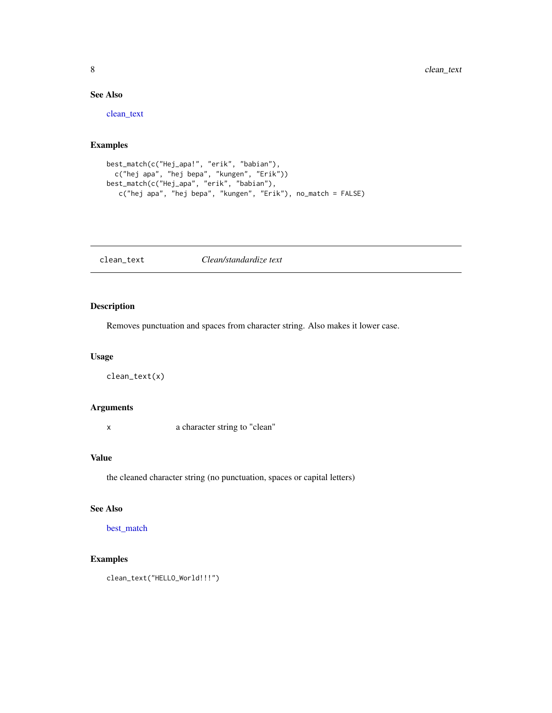#### See Also

[clean\\_text](#page-7-1)

#### Examples

```
best_match(c("Hej_apa!", "erik", "babian"),
  c("hej apa", "hej bepa", "kungen", "Erik"))
best_match(c("Hej_apa", "erik", "babian"),
  c("hej apa", "hej bepa", "kungen", "Erik"), no_match = FALSE)
```
<span id="page-7-1"></span>clean\_text *Clean/standardize text*

#### Description

Removes punctuation and spaces from character string. Also makes it lower case.

#### Usage

```
clean_text(x)
```
#### Arguments

x a character string to "clean"

#### Value

the cleaned character string (no punctuation, spaces or capital letters)

#### See Also

[best\\_match](#page-6-1)

#### Examples

clean\_text("HELLO\_World!!!")

<span id="page-7-0"></span>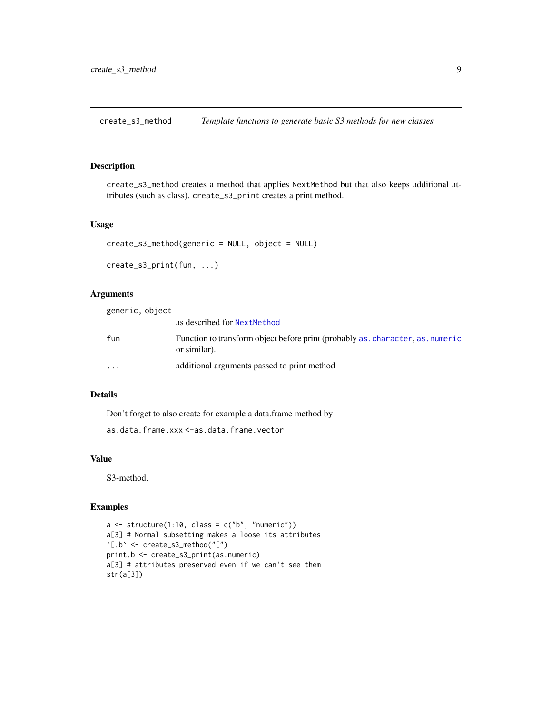<span id="page-8-0"></span>create\_s3\_method *Template functions to generate basic S3 methods for new classes*

#### Description

create\_s3\_method creates a method that applies NextMethod but that also keeps additional attributes (such as class). create\_s3\_print creates a print method.

#### Usage

```
create_s3_method(generic = NULL, object = NULL)
```

```
create_s3_print(fun, ...)
```
#### Arguments

| generic, object         |                                                                                                |
|-------------------------|------------------------------------------------------------------------------------------------|
|                         | as described for NextMethod                                                                    |
| fun                     | Function to transform object before print (probably as, character, as, numeric<br>or similar). |
| $\cdot$ $\cdot$ $\cdot$ | additional arguments passed to print method                                                    |

#### Details

Don't forget to also create for example a data.frame method by

as.data.frame.xxx <-as.data.frame.vector

#### Value

S3-method.

```
a \leq - structure(1:10, class = c("b", "numeric"))
a[3] # Normal subsetting makes a loose its attributes
`[.b` <- create_s3_method("[")
print.b <- create_s3_print(as.numeric)
a[3] # attributes preserved even if we can't see them
str(a[3])
```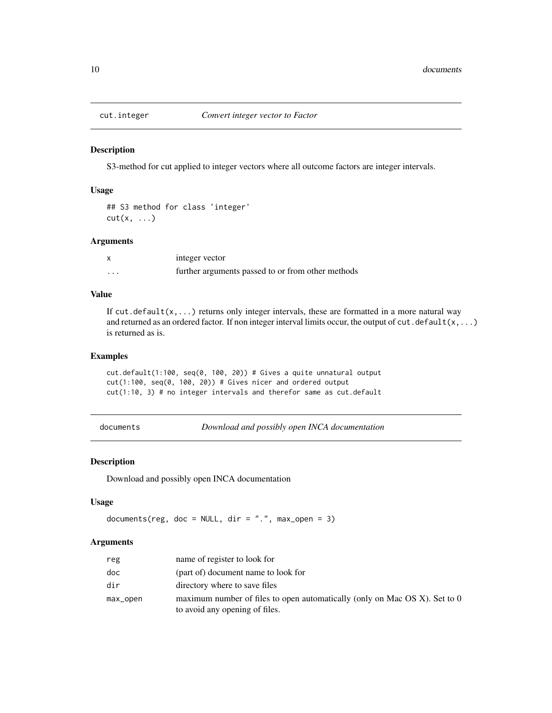<span id="page-9-0"></span>

S3-method for cut applied to integer vectors where all outcome factors are integer intervals.

#### Usage

```
## S3 method for class 'integer'
cut(x, \ldots)
```
#### Arguments

|   | integer vector                                    |
|---|---------------------------------------------------|
| . | further arguments passed to or from other methods |

#### Value

If cut.default( $x, \ldots$ ) returns only integer intervals, these are formatted in a more natural way and returned as an ordered factor. If non integer interval limits occur, the output of  $cut$ .default(x,...) is returned as is.

#### Examples

cut.default(1:100, seq(0, 100, 20)) # Gives a quite unnatural output cut(1:100, seq(0, 100, 20)) # Gives nicer and ordered output cut(1:10, 3) # no integer intervals and therefor same as cut.default

documents *Download and possibly open INCA documentation*

#### Description

Download and possibly open INCA documentation

#### Usage

```
documents(reg, doc = NULL, dir = ".", max_open = 3)
```

| reg      | name of register to look for                                                                                    |
|----------|-----------------------------------------------------------------------------------------------------------------|
| doc      | (part of) document name to look for                                                                             |
| dir      | directory where to save files                                                                                   |
| max_open | maximum number of files to open automatically (only on Mac OS $X$ ). Set to 0<br>to avoid any opening of files. |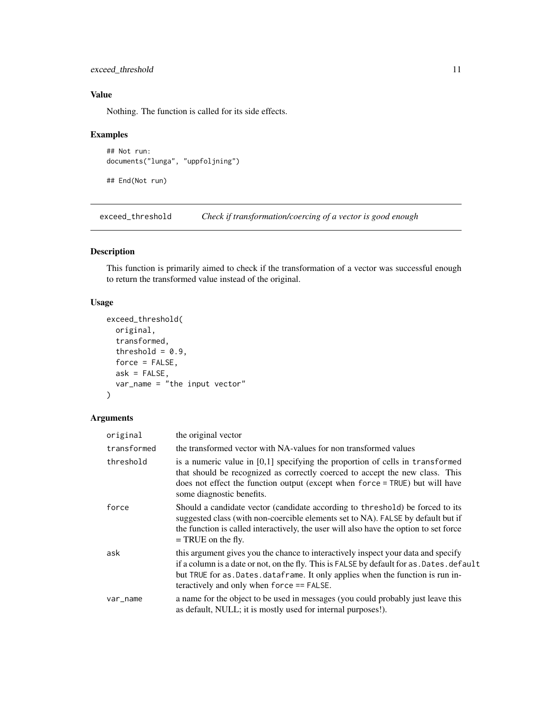#### <span id="page-10-0"></span>exceed\_threshold 11

#### Value

Nothing. The function is called for its side effects.

#### Examples

```
## Not run:
documents("lunga", "uppfoljning")
```
## End(Not run)

<span id="page-10-1"></span>exceed\_threshold *Check if transformation/coercing of a vector is good enough*

#### Description

This function is primarily aimed to check if the transformation of a vector was successful enough to return the transformed value instead of the original.

#### Usage

```
exceed_threshold(
  original,
  transformed,
  threshold = 0.9,
  force = FALSE,
  ask = FALSE,var_name = "the input vector"
)
```

| original    | the original vector                                                                                                                                                                                                                                                                                                 |
|-------------|---------------------------------------------------------------------------------------------------------------------------------------------------------------------------------------------------------------------------------------------------------------------------------------------------------------------|
| transformed | the transformed vector with NA-values for non transformed values                                                                                                                                                                                                                                                    |
| threshold   | is a numeric value in $[0,1]$ specifying the proportion of cells in transformed<br>that should be recognized as correctly coerced to accept the new class. This<br>does not effect the function output (except when force = TRUE) but will have<br>some diagnostic benefits.                                        |
| force       | Should a candidate vector (candidate according to threshold) be forced to its<br>suggested class (with non-coercible elements set to NA). FALSE by default but if<br>the function is called interactively, the user will also have the option to set force<br>$=$ TRUE on the fly.                                  |
| ask         | this argument gives you the chance to interactively inspect your data and specify<br>if a column is a date or not, on the fly. This is FALSE by default for as . Dates . default<br>but TRUE for as . Dates . data frame. It only applies when the function is run in-<br>teractively and only when force == FALSE. |
| var_name    | a name for the object to be used in messages (you could probably just leave this<br>as default, NULL; it is mostly used for internal purposes!).                                                                                                                                                                    |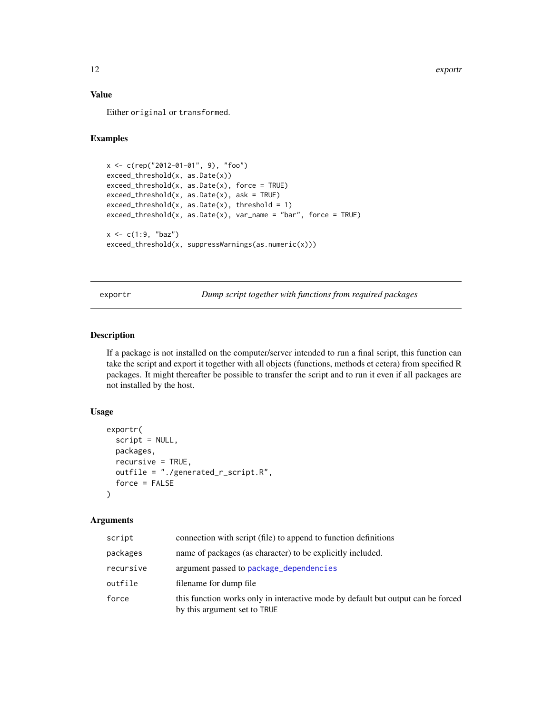#### <span id="page-11-0"></span>Value

Either original or transformed.

#### Examples

```
x <- c(rep("2012-01-01", 9), "foo")
exceed_threshold(x, as.Date(x))
exceed_threshold(x, as.Date(x), force = TRUE)
exceed_threshold(x, as.Date(x), ask = TRUE)
exceed\_threshold(x, as.DataFrame(x), threshold = 1)exceed\_threshold(x, as.DataFrame(x), var_name = "bar", force = TRUE)x \leq c(1:9, "baz")exceed_threshold(x, suppressWarnings(as.numeric(x)))
```
exportr *Dump script together with functions from required packages*

#### Description

If a package is not installed on the computer/server intended to run a final script, this function can take the script and export it together with all objects (functions, methods et cetera) from specified R packages. It might thereafter be possible to transfer the script and to run it even if all packages are not installed by the host.

#### Usage

```
exportr(
  script = NULL,
  packages,
  recursive = TRUE,
  outfile = "./generated_r_script.R",
  force = FALSE
)
```

| script    | connection with script (file) to append to function definitions                                                  |
|-----------|------------------------------------------------------------------------------------------------------------------|
| packages  | name of packages (as character) to be explicitly included.                                                       |
| recursive | argument passed to package_dependencies                                                                          |
| outfile   | filename for dump file                                                                                           |
| force     | this function works only in interactive mode by default but output can be forced<br>by this argument set to TRUE |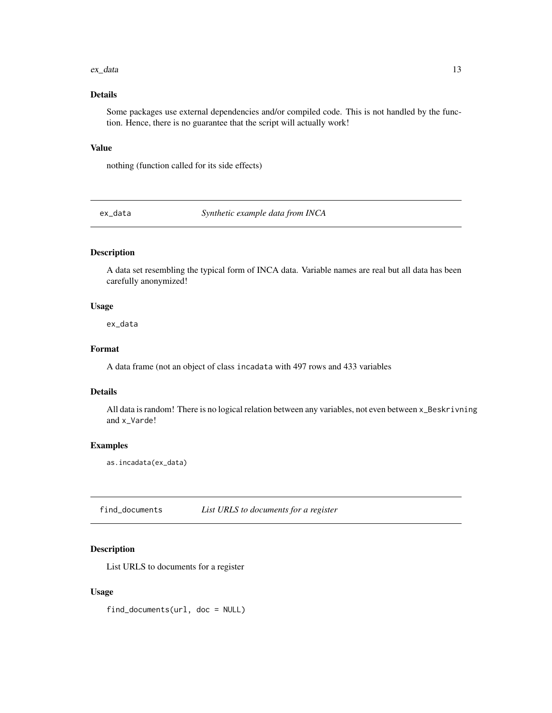#### <span id="page-12-0"></span>ex\_data 13

#### Details

Some packages use external dependencies and/or compiled code. This is not handled by the function. Hence, there is no guarantee that the script will actually work!

#### Value

nothing (function called for its side effects)

ex\_data *Synthetic example data from INCA*

#### Description

A data set resembling the typical form of INCA data. Variable names are real but all data has been carefully anonymized!

#### Usage

ex\_data

#### Format

A data frame (not an object of class incadata with 497 rows and 433 variables

#### Details

All data is random! There is no logical relation between any variables, not even between x\_Beskrivning and x\_Varde!

#### Examples

as.incadata(ex\_data)

find\_documents *List URLS to documents for a register*

#### Description

List URLS to documents for a register

#### Usage

find\_documents(url, doc = NULL)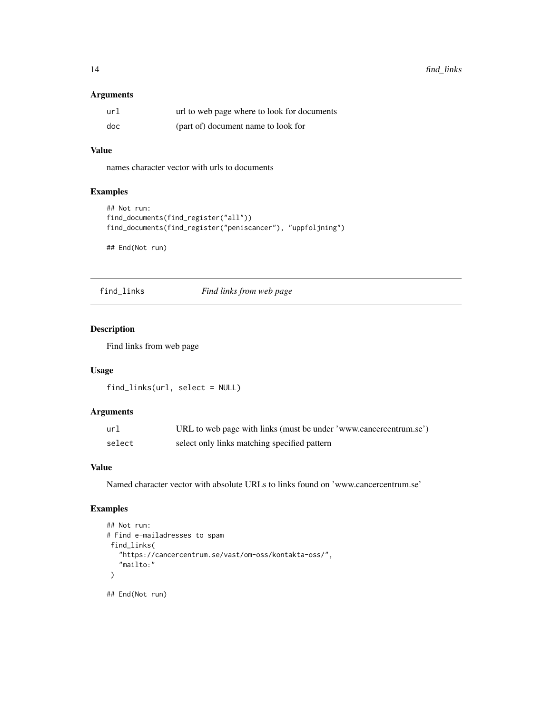#### <span id="page-13-0"></span>Arguments

| url | url to web page where to look for documents |
|-----|---------------------------------------------|
| doc | (part of) document name to look for         |

#### Value

names character vector with urls to documents

#### Examples

```
## Not run:
find_documents(find_register("all"))
find_documents(find_register("peniscancer"), "uppfoljning")
```
## End(Not run)

find\_links *Find links from web page*

#### Description

Find links from web page

#### Usage

```
find_links(url, select = NULL)
```
#### Arguments

| url    | URL to web page with links (must be under 'www.cancercentrum.se') |
|--------|-------------------------------------------------------------------|
| select | select only links matching specified pattern                      |

#### Value

Named character vector with absolute URLs to links found on 'www.cancercentrum.se'

```
## Not run:
# Find e-mailadresses to spam
 find_links(
   "https://cancercentrum.se/vast/om-oss/kontakta-oss/",
   "mailto:"
 )
## End(Not run)
```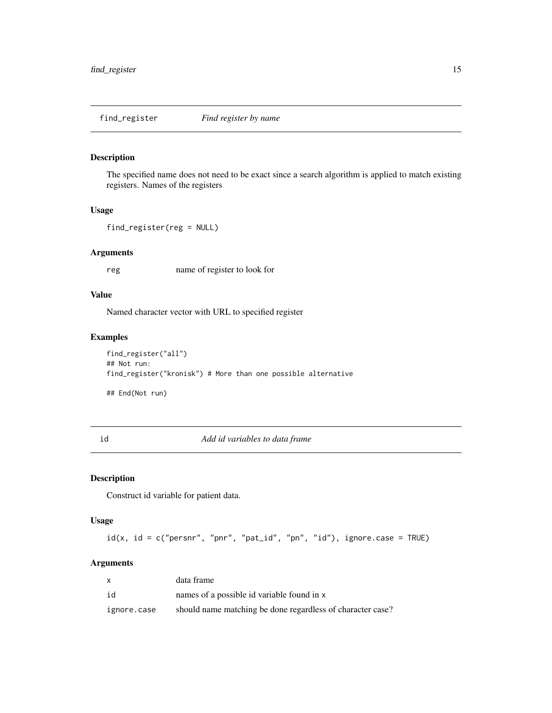<span id="page-14-0"></span>find\_register *Find register by name*

#### Description

The specified name does not need to be exact since a search algorithm is applied to match existing registers. Names of the registers

#### Usage

```
find_register(reg = NULL)
```
#### Arguments

reg name of register to look for

#### Value

Named character vector with URL to specified register

#### Examples

```
find_register("all")
## Not run:
find_register("kronisk") # More than one possible alternative
## End(Not run)
```
#### <span id="page-14-1"></span>id *Add id variables to data frame*

#### Description

Construct id variable for patient data.

#### Usage

 $id(x, id = c("person", "pn", "pat_id", "pn", "id"), ignore-case = TRUE)$ 

|             | data frame                                                 |
|-------------|------------------------------------------------------------|
| id          | names of a possible id variable found in x                 |
| ignore.case | should name matching be done regardless of character case? |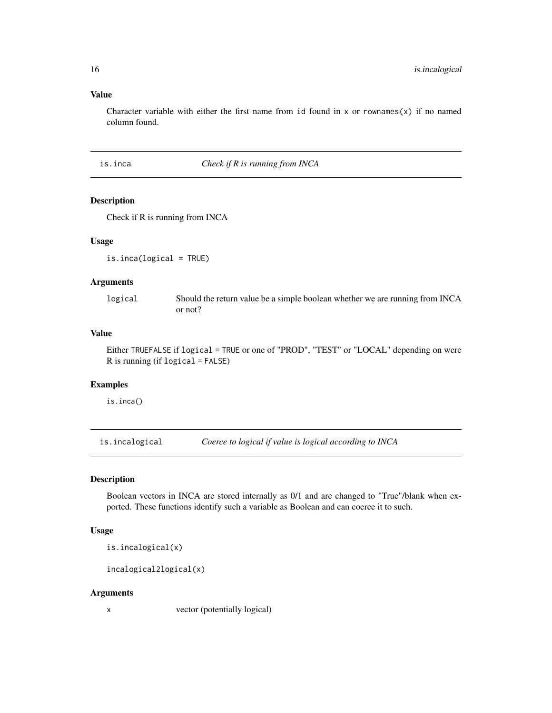#### Value

Character variable with either the first name from id found in x or rownames(x) if no named column found.

is.inca *Check if R is running from INCA*

#### Description

Check if R is running from INCA

#### Usage

is.inca(logical = TRUE)

#### Arguments

logical Should the return value be a simple boolean whether we are running from INCA or not?

#### Value

Either TRUEFALSE if logical = TRUE or one of "PROD", "TEST" or "LOCAL" depending on were R is running (if logical = FALSE)

#### Examples

is.inca()

<span id="page-15-1"></span>is.incalogical *Coerce to logical if value is logical according to INCA*

#### Description

Boolean vectors in INCA are stored internally as 0/1 and are changed to "True"/blank when exported. These functions identify such a variable as Boolean and can coerce it to such.

#### Usage

is.incalogical(x)

incalogical2logical(x)

#### Arguments

x vector (potentially logical)

<span id="page-15-0"></span>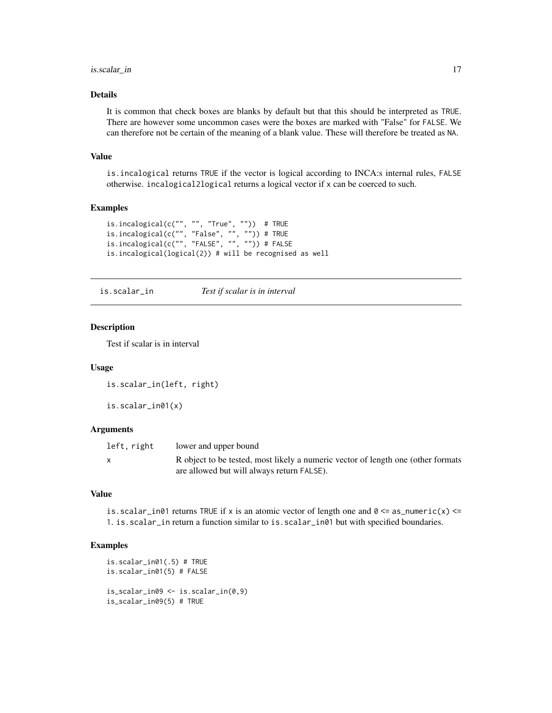#### <span id="page-16-0"></span>is.scalar\_in 17

#### Details

It is common that check boxes are blanks by default but that this should be interpreted as TRUE. There are however some uncommon cases were the boxes are marked with "False" for FALSE. We can therefore not be certain of the meaning of a blank value. These will therefore be treated as NA.

#### Value

is.incalogical returns TRUE if the vector is logical according to INCA:s internal rules, FALSE otherwise. incalogical2logical returns a logical vector if x can be coerced to such.

#### Examples

```
is.incalogical(c("", "", "True", "")) # TRUE
is.incalogical(c("", "False", "", "")) # TRUE
is.incalogical(c("", "FALSE", "", "")) # FALSE
is.incalogical(logical(2)) # will be recognised as well
```
is.scalar\_in *Test if scalar is in interval*

#### Description

Test if scalar is in interval

#### Usage

```
is.scalar_in(left, right)
```
is.scalar\_in01(x)

#### **Arguments**

| left, right | lower and upper bound                                                            |
|-------------|----------------------------------------------------------------------------------|
|             | R object to be tested, most likely a numeric vector of length one (other formats |
|             | are allowed but will always return FALSE).                                       |

#### Value

is.scalar\_in01 returns TRUE if x is an atomic vector of length one and  $0 \le a \le \text{numeric}(x) \le$ 1. is.scalar\_in return a function similar to is.scalar\_in01 but with specified boundaries.

```
is.scalar_in01(.5) # TRUE
is.scalar_in01(5) # FALSE
is_scalar_in09 <- is.scalar_in(0,9)
is_scalar_in09(5) # TRUE
```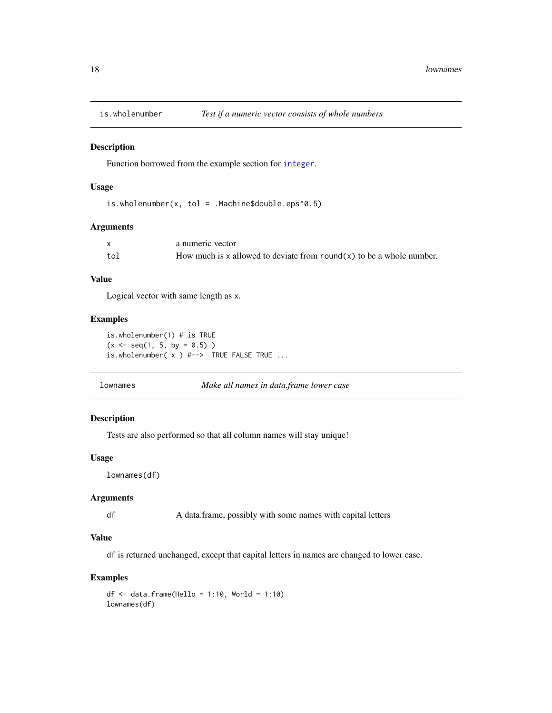<span id="page-17-0"></span>

Function borrowed from the example section for [integer](#page-0-0).

#### Usage

is.wholenumber(x, tol = .Machine\$double.eps^0.5)

#### Arguments

|     | a numeric vector                                                     |
|-----|----------------------------------------------------------------------|
| tol | How much is x allowed to deviate from round(x) to be a whole number. |

#### Value

Logical vector with same length as x.

#### Examples

is.wholenumber(1) # is TRUE  $(x \leq - \text{seq}(1, 5, \text{ by } = 0.5) )$ is.wholenumber( x ) #--> TRUE FALSE TRUE ...

lownames *Make all names in data.frame lower case*

#### Description

Tests are also performed so that all column names will stay unique!

#### Usage

lownames(df)

#### Arguments

df A data.frame, possibly with some names with capital letters

#### Value

df is returned unchanged, except that capital letters in names are changed to lower case.

```
df \leftarrow data . frame(Hello = 1:10, World = 1:10)lownames(df)
```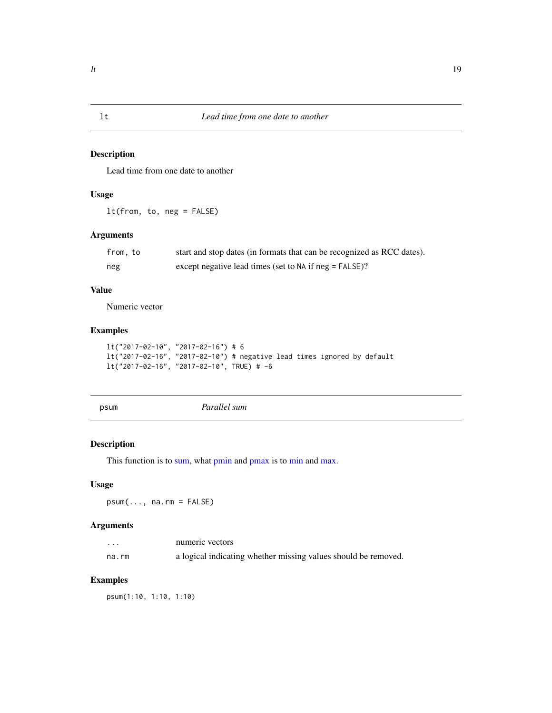<span id="page-18-0"></span>Lead time from one date to another

#### Usage

lt(from, to, neg = FALSE)

#### Arguments

| from, to | start and stop dates (in formats that can be recognized as RCC dates). |
|----------|------------------------------------------------------------------------|
| neg      | except negative lead times (set to NA if neg = FALSE)?                 |

#### Value

Numeric vector

#### Examples

```
lt("2017-02-10", "2017-02-16") # 6
lt("2017-02-16", "2017-02-10") # negative lead times ignored by default
lt("2017-02-16", "2017-02-10", TRUE) # -6
```
psum *Parallel sum*

#### Description

This function is to [sum,](#page-0-0) what [pmin](#page-0-0) and [pmax](#page-0-0) is to [min](#page-0-0) and [max.](#page-0-0)

#### Usage

psum(..., na.rm = FALSE)

#### Arguments

| .     | numeric vectors                                                |
|-------|----------------------------------------------------------------|
| na.rm | a logical indicating whether missing values should be removed. |

#### Examples

psum(1:10, 1:10, 1:10)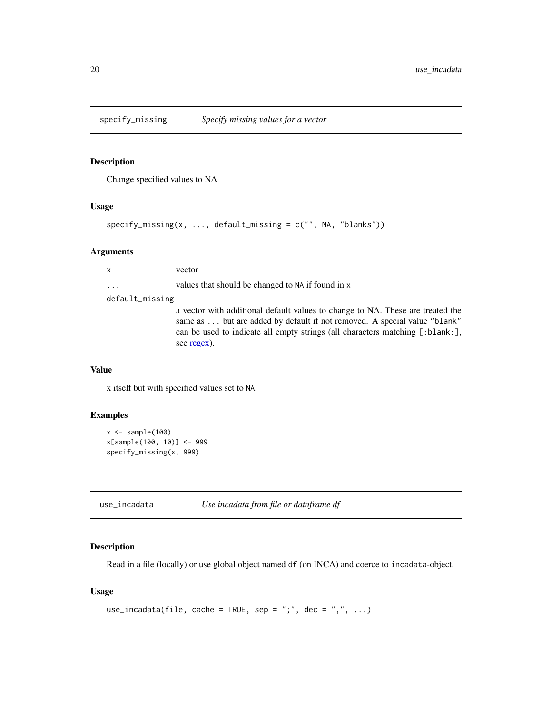<span id="page-19-0"></span>

Change specified values to NA

#### Usage

```
specify_missing(x, ..., default_missing = c("", NA, "blanks"))
```
#### Arguments

| $\mathsf{x}$    | vector                                                                                                                                                                                                                                                      |
|-----------------|-------------------------------------------------------------------------------------------------------------------------------------------------------------------------------------------------------------------------------------------------------------|
| $\cdots$        | values that should be changed to NA if found in x                                                                                                                                                                                                           |
| default_missing |                                                                                                                                                                                                                                                             |
|                 | a vector with additional default values to change to NA. These are treated the<br>same as  but are added by default if not removed. A special value "blank"<br>can be used to indicate all empty strings (all characters matching [:blank:],<br>see regex). |

#### Value

x itself but with specified values set to NA.

#### Examples

```
x \leftarrow sample(100)
x[sample(100, 10)] <- 999
specify_missing(x, 999)
```
use\_incadata *Use incadata from file or dataframe df*

#### Description

Read in a file (locally) or use global object named df (on INCA) and coerce to incadata-object.

#### Usage

```
use_incadata(file, cache = TRUE, sep = ";", dec = ",", ...)
```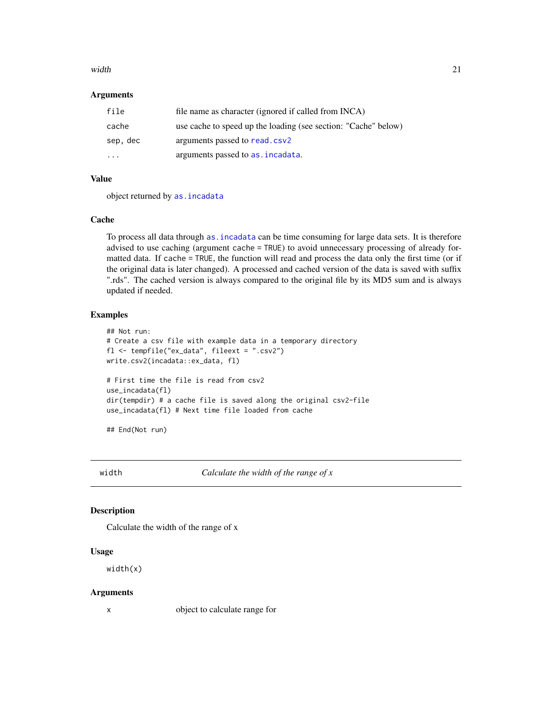#### <span id="page-20-0"></span>width 21

#### **Arguments**

| file                    | file name as character (ignored if called from INCA)           |
|-------------------------|----------------------------------------------------------------|
| cache                   | use cache to speed up the loading (see section: "Cache" below) |
| sep, dec                | arguments passed to read.csv2                                  |
| $\cdot$ $\cdot$ $\cdot$ | arguments passed to as . incadata.                             |

#### Value

object returned by [as.incadata](#page-3-1)

#### Cache

To process all data through [as.incadata](#page-3-1) can be time consuming for large data sets. It is therefore advised to use caching (argument cache = TRUE) to avoid unnecessary processing of already formatted data. If cache = TRUE, the function will read and process the data only the first time (or if the original data is later changed). A processed and cached version of the data is saved with suffix ".rds". The cached version is always compared to the original file by its MD5 sum and is always updated if needed.

#### Examples

```
## Not run:
# Create a csv file with example data in a temporary directory
fl <- tempfile("ex_data", fileext = ".csv2")
write.csv2(incadata::ex_data, fl)
# First time the file is read from csv2
use_incadata(fl)
dir(tempdir) # a cache file is saved along the original csv2-file
use_incadata(fl) # Next time file loaded from cache
## End(Not run)
```
width *Calculate the width of the range of x*

#### Description

Calculate the width of the range of x

#### Usage

width(x)

#### Arguments

x object to calculate range for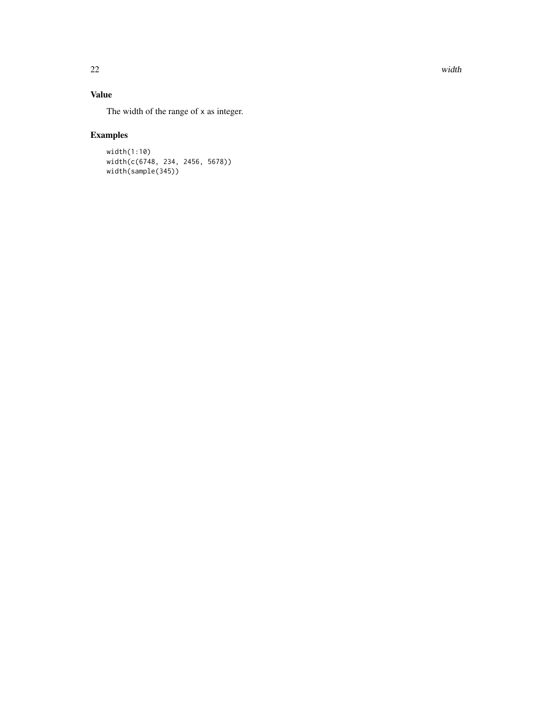22 width width will be a set of the contract of the contract of the contract of the contract of the contract of the contract of the contract of the contract of the contract of the contract of the contract of the contract o

### Value

The width of the range of x as integer.

```
width(1:10)
width(c(6748, 234, 2456, 5678))
width(sample(345))
```